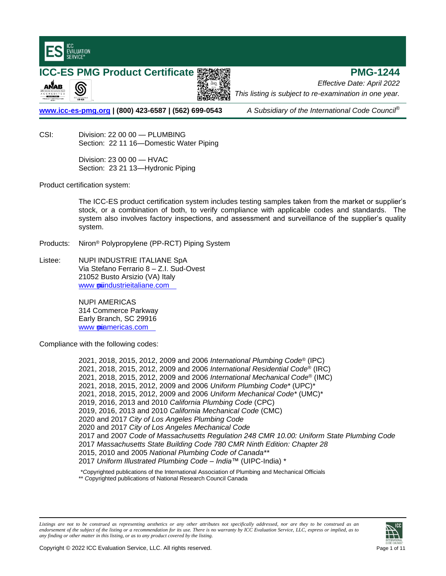

**ICC-ES PMG Product Certificate 緊迫線理 スワイン インタート アイライト PMG-1244** ANAB இ



*Effective Date: April 2022 This listing is subject to re-examination in one year.*

**www.icc-es-pmg.org | (800) 423-6587 | (562) 699-0543** *A Subsidiary of the International Code Council*®

CSI: Division: 22 00 00 — PLUMBING Section: 22 11 16—Domestic Water Piping

> Division: 23 00 00 — HVAC Section: 23 21 13—Hydronic Piping

Product certification system:

The ICC-ES product certification system includes testing samples taken from the market or supplier's stock, or a combination of both, to verify compliance with applicable codes and standards. The system also involves factory inspections, and assessment and surveillance of the supplier's quality system.

Products: Niron® Polypropylene (PP-RCT) Piping System

Listee: NUPI INDUSTRIE ITALIANE SpA Via Stefano Ferrario 8 – Z.I. Sud-Ovest 21052 Busto Arsizio (VA) Italy www puindustrieitaliane.com

> NUPI AMERICAS 314 Commerce Parkway Early Branch, SC 29916 www puiamericas.com

Compliance with the following codes:

2021, 2018, 2015, 2012, 2009 and 2006 *International Plumbing Code*® (IPC) 2021, 2018, 2015, 2012, 2009 and 2006 *International Residential Code*® (IRC) 2021, 2018, 2015, 2012, 2009 and 2006 *International Mechanical Code*® (IMC) 2021, 2018, 2015, 2012, 2009 and 2006 *Uniform Plumbing Code\** (UPC)\* 2021, 2018, 2015, 2012, 2009 and 2006 *Uniform Mechanical Code\** (UMC)\* 2019, 2016, 2013 and 2010 *California Plumbing Code* (CPC) 2019, 2016, 2013 and 2010 *California Mechanical Code* (CMC) 2020 and 2017 *City of Los Angeles Plumbing Code* 2020 and 2017 *City of Los Angeles Mechanical Code* 2017 and 2007 *Code of Massachusetts Regulation 248 CMR 10.00: Uniform State Plumbing Code* 2017 *Massachusetts State Building Code 780 CMR Ninth Edition: Chapter 28* 2015, 2010 and 2005 *National Plumbing Code of Canada\*\** 2017 *Uniform Illustrated Plumbing Code – India™* (UIPC-India) \*

\**C*opyrighted publications of the International Association of Plumbing and Mechanical Officials \*\* *C*opyrighted publications of National Research Council Canada

*Listings are not to be construed as representing aesthetics or any other attributes not specifically addressed, nor are they to be construed as an endorsement of the subject of the listing or a recommendation for its use. There is no warranty by ICC Evaluation Service, LLC, express or implied, as to any finding or other matter in this listing, or as to any product covered by the listing.*

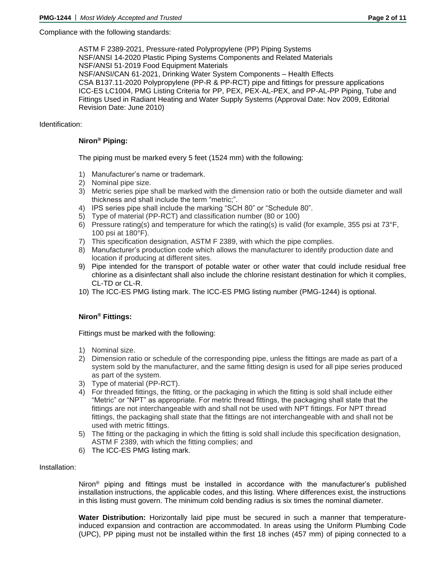Compliance with the following standards:

ASTM F 2389-2021, Pressure-rated Polypropylene (PP) Piping Systems NSF/ANSI 14-2020 Plastic Piping Systems Components and Related Materials NSF/ANSI 51-2019 Food Equipment Materials NSF/ANSI/CAN 61-2021, Drinking Water System Components – Health Effects CSA B137.11-2020 Polypropylene (PP-R & PP-RCT) pipe and fittings for pressure applications ICC-ES LC1004, PMG Listing Criteria for PP, PEX, PEX-AL-PEX, and PP-AL-PP Piping, Tube and Fittings Used in Radiant Heating and Water Supply Systems (Approval Date: Nov 2009, Editorial Revision Date: June 2010)

# Identification:

## **Niron® Piping:**

The piping must be marked every 5 feet (1524 mm) with the following:

- 1) Manufacturer's name or trademark.
- 2) Nominal pipe size.
- 3) Metric series pipe shall be marked with the dimension ratio or both the outside diameter and wall thickness and shall include the term "metric;".
- 4) IPS series pipe shall include the marking "SCH 80" or "Schedule 80".
- 5) Type of material (PP-RCT) and classification number (80 or 100)
- 6) Pressure rating(s) and temperature for which the rating(s) is valid (for example, 355 psi at  $73^{\circ}F$ , 100 psi at 180°F).
- 7) This specification designation, ASTM F 2389, with which the pipe complies.
- 8) Manufacturer's production code which allows the manufacturer to identify production date and location if producing at different sites.
- 9) Pipe intended for the transport of potable water or other water that could include residual free chlorine as a disinfectant shall also include the chlorine resistant destination for which it complies, CL-TD or CL-R.
- 10) The ICC-ES PMG listing mark. The ICC-ES PMG listing number (PMG-1244) is optional.

## **Niron® Fittings:**

Fittings must be marked with the following:

- 1) Nominal size.
- 2) Dimension ratio or schedule of the corresponding pipe, unless the fittings are made as part of a system sold by the manufacturer, and the same fitting design is used for all pipe series produced as part of the system.
- 3) Type of material (PP-RCT).
- 4) For threaded fittings, the fitting, or the packaging in which the fitting is sold shall include either "Metric" or "NPT" as appropriate. For metric thread fittings, the packaging shall state that the fittings are not interchangeable with and shall not be used with NPT fittings. For NPT thread fittings, the packaging shall state that the fittings are not interchangeable with and shall not be used with metric fittings.
- 5) The fitting or the packaging in which the fitting is sold shall include this specification designation, ASTM F 2389, with which the fitting complies; and
- 6) The ICC-ES PMG listing mark.

## Installation:

Niron® piping and fittings must be installed in accordance with the manufacturer's published installation instructions, the applicable codes, and this listing. Where differences exist, the instructions in this listing must govern. The minimum cold bending radius is six times the nominal diameter.

**Water Distribution:** Horizontally laid pipe must be secured in such a manner that temperatureinduced expansion and contraction are accommodated. In areas using the Uniform Plumbing Code (UPC), PP piping must not be installed within the first 18 inches (457 mm) of piping connected to a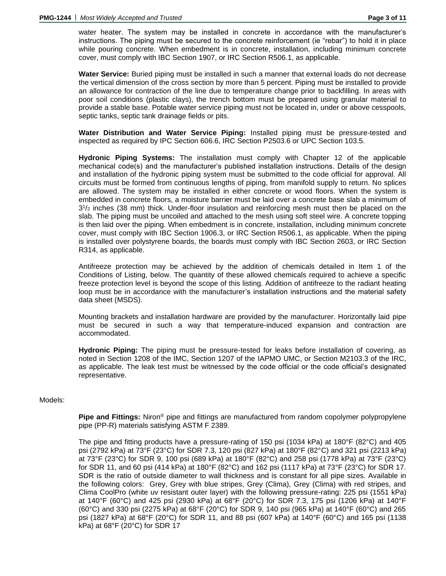water heater. The system may be installed in concrete in accordance with the manufacturer's instructions. The piping must be secured to the concrete reinforcement (ie "rebar") to hold it in place while pouring concrete. When embedment is in concrete, installation, including minimum concrete cover, must comply with IBC Section 1907, or IRC Section R506.1, as applicable.

**Water Service:** Buried piping must be installed in such a manner that external loads do not decrease the vertical dimension of the cross section by more than 5 percent. Piping must be installed to provide an allowance for contraction of the line due to temperature change prior to backfilling. In areas with poor soil conditions (plastic clays), the trench bottom must be prepared using granular material to provide a stable base. Potable water service piping must not be located in, under or above cesspools, septic tanks, septic tank drainage fields or pits.

**Water Distribution and Water Service Piping:** Installed piping must be pressure-tested and inspected as required by IPC Section 606.6, IRC Section P2503.6 or UPC Section 103.5.

**Hydronic Piping Systems:** The installation must comply with Chapter 12 of the applicable mechanical code(s) and the manufacturer's published installation instructions. Details of the design and installation of the hydronic piping system must be submitted to the code official for approval. All circuits must be formed from continuous lengths of piping, from manifold supply to return. No splices are allowed. The system may be installed in either concrete or wood floors. When the system is embedded in concrete floors, a moisture barrier must be laid over a concrete base slab a minimum of 3 1 /<sup>2</sup> inches (38 mm) thick. Under-floor insulation and reinforcing mesh must then be placed on the slab. The piping must be uncoiled and attached to the mesh using soft steel wire. A concrete topping is then laid over the piping. When embedment is in concrete, installation, including minimum concrete cover, must comply with IBC Section 1906.3, or IRC Section R506.1, as applicable. When the piping is installed over polystyrene boards, the boards must comply with IBC Section 2603, or IRC Section R314, as applicable.

Antifreeze protection may be achieved by the addition of chemicals detailed in Item 1 of the Conditions of Listing, below. The quantity of these allowed chemicals required to achieve a specific freeze protection level is beyond the scope of this listing. Addition of antifreeze to the radiant heating loop must be in accordance with the manufacturer's installation instructions and the material safety data sheet (MSDS).

Mounting brackets and installation hardware are provided by the manufacturer. Horizontally laid pipe must be secured in such a way that temperature-induced expansion and contraction are accommodated.

**Hydronic Piping:** The piping must be pressure-tested for leaks before installation of covering, as noted in Section 1208 of the IMC, Section 1207 of the IAPMO UMC, or Section M2103.3 of the IRC, as applicable. The leak test must be witnessed by the code official or the code official's designated representative.

## Models:

**Pipe and Fittings:** Niron® pipe and fittings are manufactured from random copolymer polypropylene pipe (PP-R) materials satisfying ASTM F 2389.

The pipe and fitting products have a pressure-rating of 150 psi (1034 kPa) at 180°F (82°C) and 405 psi (2792 kPa) at 73°F (23°C) for SDR 7.3, 120 psi (827 kPa) at 180°F (82°C) and 321 psi (2213 kPa) at 73°F (23°C) for SDR 9, 100 psi (689 kPa) at 180°F (82°C) and 258 psi (1778 kPa) at 73°F (23°C) for SDR 11, and 60 psi (414 kPa) at 180°F (82°C) and 162 psi (1117 kPa) at 73°F (23°C) for SDR 17. SDR is the ratio of outside diameter to wall thickness and is constant for all pipe sizes. Available in the following colors: Grey, Grey with blue stripes, Grey (Clima), Grey (Clima) with red stripes, and Clima CoolPro (white uv resistant outer layer) with the following pressure-rating: 225 psi (1551 kPa) at 140°F (60°C) and 425 psi (2930 kPa) at 68°F (20°C) for SDR 7.3, 175 psi (1206 kPa) at 140°F (60°C) and 330 psi (2275 kPa) at 68°F (20°C) for SDR 9, 140 psi (965 kPa) at 140°F (60°C) and 265 psi (1827 kPa) at 68°F (20°C) for SDR 11, and 88 psi (607 kPa) at 140°F (60°C) and 165 psi (1138 kPa) at 68°F (20°C) for SDR 17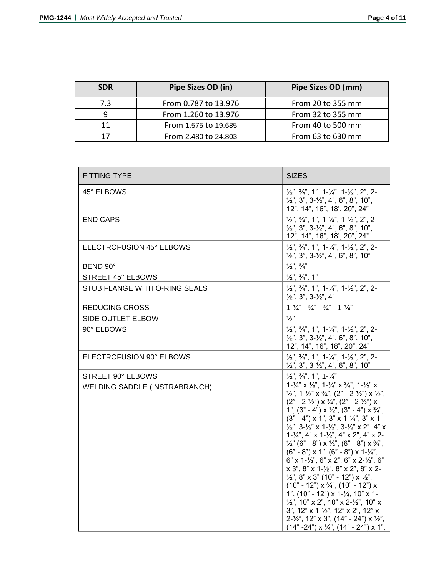| <b>SDR</b> | Pipe Sizes OD (in)   | Pipe Sizes OD (mm) |
|------------|----------------------|--------------------|
| 7.3        | From 0.787 to 13.976 | From 20 to 355 mm  |
| q          | From 1.260 to 13.976 | From 32 to 355 mm  |
| 11         | From 1.575 to 19.685 | From 40 to 500 mm  |
| 17         | From 2.480 to 24.803 | From 63 to 630 mm  |

| <b>FITTING TYPE</b>                  | <b>SIZES</b>                                                                                                                                                                                                                                                                                                                                                                                                                                                                                                                                                                                                                                                                                                                                                                                                                                                                                                                                                                                                                                                                                                                                                                                                                      |
|--------------------------------------|-----------------------------------------------------------------------------------------------------------------------------------------------------------------------------------------------------------------------------------------------------------------------------------------------------------------------------------------------------------------------------------------------------------------------------------------------------------------------------------------------------------------------------------------------------------------------------------------------------------------------------------------------------------------------------------------------------------------------------------------------------------------------------------------------------------------------------------------------------------------------------------------------------------------------------------------------------------------------------------------------------------------------------------------------------------------------------------------------------------------------------------------------------------------------------------------------------------------------------------|
| 45° ELBOWS                           | $\frac{1}{2}$ , $\frac{3}{4}$ , $\frac{1}{2}$ , $\frac{1}{2}$ , $\frac{1}{4}$ , $\frac{1}{4}$ , $\frac{1}{2}$ , $\frac{1}{2}$ , $\frac{1}{2}$ , $\frac{1}{2}$ , $\frac{1}{2}$<br>$\frac{1}{2}$ , 3", 3- $\frac{1}{2}$ ", 4", 6", 8", 10",<br>12", 14", 16", 18', 20", 24"                                                                                                                                                                                                                                                                                                                                                                                                                                                                                                                                                                                                                                                                                                                                                                                                                                                                                                                                                         |
| <b>END CAPS</b>                      | $\frac{1}{2}$ , $\frac{3}{4}$ , $\frac{1}{2}$ , $\frac{1}{4}$ , $\frac{1}{4}$ , $\frac{1}{4}$ , $\frac{1}{2}$ , $\frac{1}{2}$ , $\frac{2}{4}$ , $\frac{2}{1}$<br>$1/2$ ", 3", 3- $1/2$ ", 4", 6", 8", 10",<br>12", 14", 16", 18', 20", 24"                                                                                                                                                                                                                                                                                                                                                                                                                                                                                                                                                                                                                                                                                                                                                                                                                                                                                                                                                                                        |
| ELECTROFUSION 45° ELBOWS             | $\frac{1}{2}$ , $\frac{3}{4}$ , $\frac{1}{2}$ , $\frac{1}{2}$ , $\frac{1}{4}$ , $\frac{1}{4}$ , $\frac{1}{2}$ , $\frac{1}{2}$ , $\frac{1}{2}$ , $\frac{1}{2}$<br>$\frac{1}{2}$ , 3", 3- $\frac{1}{2}$ ", 4", 6", 8", 10"                                                                                                                                                                                                                                                                                                                                                                                                                                                                                                                                                                                                                                                                                                                                                                                                                                                                                                                                                                                                          |
| BEND 90°                             | $\frac{1}{2}$ , $\frac{3}{4}$                                                                                                                                                                                                                                                                                                                                                                                                                                                                                                                                                                                                                                                                                                                                                                                                                                                                                                                                                                                                                                                                                                                                                                                                     |
| <b>STREET 45° ELBOWS</b>             | $\frac{1}{2}$ , $\frac{3}{4}$ , 1"                                                                                                                                                                                                                                                                                                                                                                                                                                                                                                                                                                                                                                                                                                                                                                                                                                                                                                                                                                                                                                                                                                                                                                                                |
| STUB FLANGE WITH O-RING SEALS        | $1/2$ ", $3/4$ ", 1", $1-1/4$ ", $1-1/2$ ", 2", 2-<br>$\frac{1}{2}$ , 3", 3- $\frac{1}{2}$ ", 4"                                                                                                                                                                                                                                                                                                                                                                                                                                                                                                                                                                                                                                                                                                                                                                                                                                                                                                                                                                                                                                                                                                                                  |
| <b>REDUCING CROSS</b>                | $1 - \frac{1}{4}$ - $\frac{3}{4}$ - $\frac{3}{4}$ - $1 - \frac{1}{4}$                                                                                                                                                                                                                                                                                                                                                                                                                                                                                                                                                                                                                                                                                                                                                                                                                                                                                                                                                                                                                                                                                                                                                             |
| SIDE OUTLET ELBOW                    | $\frac{1}{2}$                                                                                                                                                                                                                                                                                                                                                                                                                                                                                                                                                                                                                                                                                                                                                                                                                                                                                                                                                                                                                                                                                                                                                                                                                     |
| 90° ELBOWS                           | $\frac{1}{2}$ , $\frac{3}{4}$ , $\frac{1}{2}$ , $\frac{1}{4}$ , $\frac{1}{4}$ , $\frac{1}{4}$ , $\frac{1}{2}$ , $\frac{1}{2}$ , $\frac{2}{4}$ , $\frac{2}{1}$<br>$\frac{1}{2}$ , 3", 3- $\frac{1}{2}$ ", 4", 6", 8", 10",<br>12", 14", 16", 18", 20", 24"                                                                                                                                                                                                                                                                                                                                                                                                                                                                                                                                                                                                                                                                                                                                                                                                                                                                                                                                                                         |
| ELECTROFUSION 90° ELBOWS             | $\frac{1}{2}$ , $\frac{3}{4}$ , $\frac{1}{2}$ , $\frac{1}{4}$ , $\frac{1}{4}$ , $\frac{1}{4}$ , $\frac{1}{2}$ , $\frac{1}{2}$ , $\frac{2}{4}$ , $\frac{2}{1}$<br>$1/2$ ", 3", 3- $1/2$ ", 4", 6", 8", 10"                                                                                                                                                                                                                                                                                                                                                                                                                                                                                                                                                                                                                                                                                                                                                                                                                                                                                                                                                                                                                         |
| STREET 90° ELBOWS                    | $\frac{1}{2}$ , $\frac{3}{4}$ , 1, 1- $\frac{1}{4}$                                                                                                                                                                                                                                                                                                                                                                                                                                                                                                                                                                                                                                                                                                                                                                                                                                                                                                                                                                                                                                                                                                                                                                               |
| <b>WELDING SADDLE (INSTRABRANCH)</b> | $1-\frac{1}{4}$ $\times$ $\frac{1}{2}$ , $1-\frac{1}{4}$ $\times$ $\frac{3}{4}$ , $1-\frac{1}{2}$ $\times$<br>$\frac{1}{2}$ , 1- $\frac{1}{2}$ x $\frac{3}{4}$ , (2" - 2- $\frac{1}{2}$ ) x $\frac{1}{2}$ ,<br>$(2" - 2-\frac{1}{2")} \times \frac{3}{4",} (2" - 2\frac{1}{2")} \times$<br>1", $(3" - 4") \times \frac{1}{2}$ ", $(3" - 4") \times \frac{3}{4}$ ",<br>$(3" - 4") \times 1", 3" \times 1 - \frac{1}{4", 3" \times 1 -$<br>$\frac{1}{2}$ , 3- $\frac{1}{2}$ x 1- $\frac{1}{2}$ , 3- $\frac{1}{2}$ x 2", 4" x<br>$1 - \frac{1}{4}$ , 4" x $1 - \frac{1}{2}$ ", 4" x 2", 4" x 2-<br>$\frac{1}{2}$ " (6" - 8") x $\frac{1}{2}$ ", (6" - 8") x $\frac{3}{4}$ ",<br>$(6" - 8") \times 1", (6" - 8") \times 1-\frac{1}{4",$<br>$6"$ x 1-1/2", 6" x 2", 6" x 2-1/2", 6"<br>x 3", 8" x 1-1/2", 8" x 2", 8" x 2-<br>$\frac{1}{2}$ ", 8" x 3" (10" - 12") x $\frac{1}{2}$ ",<br>$(10" - 12") \times \frac{3}{4}"$ , $(10" - 12") \times$<br>1", $(10" - 12") \times 1-\frac{1}{4}$ , 10" x 1-<br>$\frac{1}{2}$ ", 10" x 2", 10" x 2- $\frac{1}{2}$ ", 10" x<br>3", 12" x 1-1/2", 12" x 2", 12" x<br>$2-\frac{1}{2}$ , 12" x 3", (14" - 24") x $\frac{1}{2}$ ",<br>$(14" - 24") \times \frac{3}{4}$ , $(14" - 24") \times 1$ , |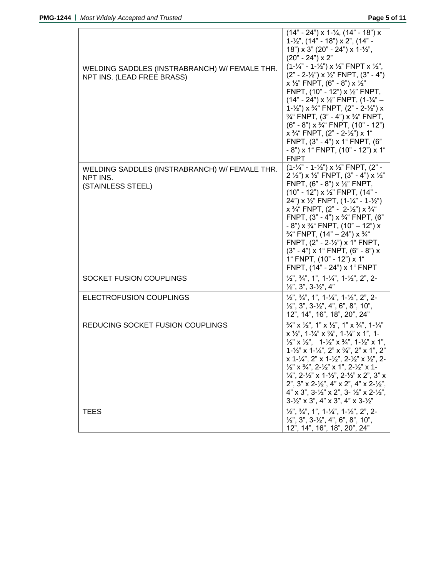|                                                                                | $(14" - 24")$ x 1-1/ <sub>4</sub> , $(14" - 18")$ x<br>$1 - \frac{1}{2}$ ", (14" - 18") x 2", (14" -<br>$18$ ") x 3" (20" - 24") x 1-1/2",<br>$(20" - 24") \times 2"$                                                                                                                                                                                                                                                                                                                                                                                                                                                                                                                                                                                                                                                                  |
|--------------------------------------------------------------------------------|----------------------------------------------------------------------------------------------------------------------------------------------------------------------------------------------------------------------------------------------------------------------------------------------------------------------------------------------------------------------------------------------------------------------------------------------------------------------------------------------------------------------------------------------------------------------------------------------------------------------------------------------------------------------------------------------------------------------------------------------------------------------------------------------------------------------------------------|
| WELDING SADDLES (INSTRABRANCH) W/ FEMALE THR.<br>NPT INS. (LEAD FREE BRASS)    | $(1-\frac{1}{4} - 1-\frac{1}{2})$ x $\frac{1}{2}$ FNPT x $\frac{1}{2}$ ,<br>$(2" - 2-\frac{1}{2")} \times \frac{1}{2"}$ FNPT, $(3" - 4")$<br>x $\frac{1}{2}$ " FNPT, (6" - 8") x $\frac{1}{2}$ "<br>FNPT, (10" - 12") x 1/2" FNPT,<br>$(14" - 24")$ x 1/2" FNPT, $(1-\frac{1}{4}" -$<br>$1 - \frac{1}{2}$ ") x $\frac{3}{4}$ " FNPT, $(2 - 2 - \frac{1}{2})$ x<br>$\frac{3}{4}$ FNPT, (3" - 4") x $\frac{3}{4}$ FNPT,<br>$(6" - 8")$ x $\frac{3}{4}$ " FNPT, $(10" - 12")$<br>$x \frac{3}{4}$ FNPT, $(2" - 2 - \frac{1}{2}) x 1$ "<br>FNPT, (3" - 4") x 1" FNPT, (6"<br>$-8$ ") x 1" FNPT, (10" - 12") x 1"<br><b>FNPT</b>                                                                                                                                                                                                             |
| WELDING SADDLES (INSTRABRANCH) W/ FEMALE THR.<br>NPT INS.<br>(STAINLESS STEEL) | $(1-\frac{1}{4} - 1-\frac{1}{2})$ x $\frac{1}{2}$ FNPT, $(2 -$<br>2 $\frac{1}{2}$ ") x $\frac{1}{2}$ " FNPT, (3" - 4") x $\frac{1}{2}$ "<br>FNPT, $(6" - 8") \times \frac{1}{2}"$ FNPT,<br>$(10" - 12") \times \frac{1}{2}"$ FNPT, $(14" -$<br>24") x $\frac{1}{2}$ " FNPT, $(1-\frac{1}{4} - 1-\frac{1}{2})$<br>$x \frac{3}{4}$ FNPT, $(2" - 2\frac{1}{2}) x \frac{3}{4}$<br>FNPT, $(3" - 4") \times 3/4"$ FNPT, $(6"$<br>$-8$ ") x $\frac{3}{4}$ " FNPT, (10" - 12") x<br>$\frac{3}{4}$ " FNPT, (14" – 24") x $\frac{3}{4}$ "<br>FNPT, (2" - 2-1/2") x 1" FNPT,<br>$(3" - 4")$ x 1" FNPT, $(6" - 8")$ x<br>1" FNPT, (10" - 12") x 1"<br>FNPT, (14" - 24") x 1" FNPT                                                                                                                                                                  |
| SOCKET FUSION COUPLINGS                                                        | $\frac{1}{2}$ , $\frac{3}{4}$ , $\frac{1}{2}$ , $\frac{1}{4}$ , $\frac{1}{4}$ , $\frac{1}{4}$ , $\frac{1}{2}$ , $\frac{1}{2}$ , $\frac{2}{3}$ , $\frac{2}{4}$<br>$\frac{1}{2}$ , 3", 3- $\frac{1}{2}$ , 4"                                                                                                                                                                                                                                                                                                                                                                                                                                                                                                                                                                                                                             |
| ELECTROFUSION COUPLINGS                                                        | $\frac{1}{2}$ , $\frac{3}{4}$ , $\frac{4}{3}$ , $\frac{1}{3}$ , $\frac{1}{4}$ , $\frac{1}{4}$ , $\frac{1}{2}$ , $\frac{1}{2}$ , $\frac{2}{3}$ , $\frac{2}{1}$<br>$\frac{1}{2}$ , 3", 3- $\frac{1}{2}$ ", 4", 6", 8", 10",<br>12", 14", 16", 18", 20", 24"                                                                                                                                                                                                                                                                                                                                                                                                                                                                                                                                                                              |
| REDUCING SOCKET FUSION COUPLINGS                                               | $\frac{3}{4}$ " x $\frac{1}{2}$ ", 1" x $\frac{1}{2}$ ", 1" x $\frac{3}{4}$ ", 1- $\frac{1}{4}$ "<br>$x \frac{1}{2}$ , 1- $\frac{1}{4}$ , $x \frac{3}{4}$ , 1- $\frac{1}{4}$ , x 1, 1-<br>$\frac{1}{2}$ " x $\frac{1}{2}$ ", $1-\frac{1}{2}$ " x $\frac{3}{4}$ ", $1-\frac{1}{2}$ " x 1",<br>$1-\frac{1}{2}$ " x $1-\frac{1}{4}$ ", $2$ " x $\frac{3}{4}$ ", $2$ " x $1$ ", $2$ "<br>x 1-1/4", 2" x 1-1/2", 2-1/2" x 1/2", 2-<br>$\frac{1}{2}$ " x $\frac{3}{4}$ ", 2- $\frac{1}{2}$ " x 1", 2- $\frac{1}{2}$ " x 1-<br>$\frac{1}{4}$ , 2- $\frac{1}{2}$ x 1- $\frac{1}{2}$ , 2- $\frac{1}{2}$ x 2", 3" x<br>2", 3" x 2- $\frac{1}{2}$ ", 4" x 2", 4" x 2- $\frac{1}{2}$ ",<br>$4" \times 3"$ , $3-\frac{1}{2}$ " $\times 2"$ , $3-\frac{1}{2}$ " $\times 2-\frac{1}{2}$ ",<br>$3\frac{1}{2}$ " x 3", 4" x 3", 4" x 3- $\frac{1}{2}$ " |
| TEES                                                                           | $\frac{1}{2}$ , $\frac{3}{4}$ , $\frac{1}{2}$ , $\frac{1}{2}$ , $\frac{1}{4}$ , $\frac{1}{4}$ , $\frac{1}{2}$ , $\frac{1}{2}$ , $\frac{1}{2}$ , $\frac{1}{2}$<br>$1/2$ ", 3", 3- $1/2$ ", 4", 6", 8", 10",<br>12", 14", 16", 18", 20", 24"                                                                                                                                                                                                                                                                                                                                                                                                                                                                                                                                                                                             |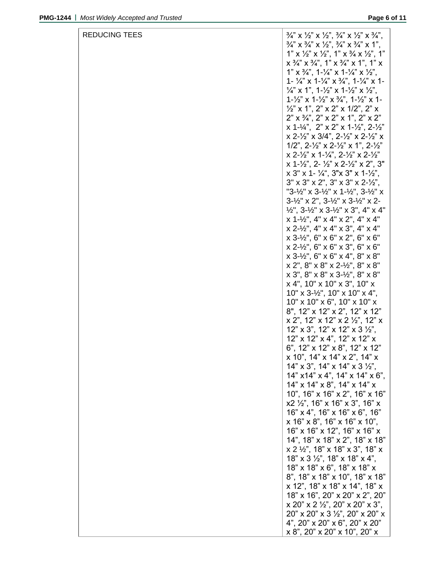| REDUCING TEES | $\frac{3}{4}$ " X $\frac{1}{2}$ " X $\frac{1}{2}$ ", $\frac{3}{4}$ " X $\frac{1}{2}$ " X $\frac{3}{4}$ ", |
|---------------|-----------------------------------------------------------------------------------------------------------|
|               | $\frac{3}{4}$ " x $\frac{3}{4}$ " x $\frac{1}{2}$ ", $\frac{3}{4}$ " x $\frac{3}{4}$ " x 1",              |
|               | 1" x $\frac{1}{2}$ " x $\frac{1}{2}$ ", 1" x $\frac{3}{4}$ x $\frac{1}{2}$ ", 1"                          |
|               | $x^{3}/^{2}$ $x^{3}/^{2}$ , 1" $x^{3}/^{2}$ $x$ 1", 1" $x^{2}$                                            |
|               | 1" x $\frac{3}{4}$ ", 1- $\frac{1}{4}$ " x 1- $\frac{1}{4}$ " x $\frac{1}{2}$ ",                          |
|               | 1- $\frac{1}{4}$ " x 1- $\frac{1}{4}$ " x $\frac{3}{4}$ ", 1- $\frac{1}{4}$ " x 1-                        |
|               | $\frac{1}{4}$ " x 1", 1- $\frac{1}{2}$ " x 1- $\frac{1}{2}$ " x $\frac{1}{2}$ ",                          |
|               | $1 - \frac{1}{2}$ " x $1 - \frac{1}{2}$ " x $\frac{3}{4}$ ", $1 - \frac{1}{2}$ " x 1-                     |
|               | $\frac{1}{2}$ " x 1", 2" x 2" x 1/2", 2" x                                                                |
|               | $2" \times 3/4", 2" \times 2" \times 1", 2" \times 2"$                                                    |
|               | x 1-1/4", 2" x 2" x 1-1/2", 2-1/2"                                                                        |
|               | $x$ 2-1/2" $x$ 3/4", 2-1/2" $x$ 2-1/2" $x$                                                                |
|               | $1/2$ ", $2-\frac{1}{2}$ " x $2-\frac{1}{2}$ " x $1$ ", $2-\frac{1}{2}$ "                                 |
|               | x 2-1/2" x 1-1/4", 2-1/2" x 2-1/2"                                                                        |
|               | x 1-1/2", 2-1/2" x 2-1/2" x 2", 3"<br>$x$ 3" x 1- $\frac{1}{4}$ ", 3"x 3" x 1- $\frac{1}{2}$ ",           |
|               | $3''$ x $3''$ x $2''$ , $3''$ x $3''$ x $2-\frac{1}{2}$ ,                                                 |
|               | "3-½" x 3-½" x 1-½", 3-½" x                                                                               |
|               | $3 - \frac{1}{2}$ " x 2", $3 - \frac{1}{2}$ " x $3 - \frac{1}{2}$ " x 2-                                  |
|               | $\frac{1}{2}$ , 3- $\frac{1}{2}$ x 3- $\frac{1}{2}$ x 3", 4" x 4"                                         |
|               | $x$ 1- $\frac{1}{2}$ ", 4" $x$ 4" $x$ 2", 4" $x$ 4"                                                       |
|               | $x 2-y2$ ", 4" $x 4$ " $x 3$ ", 4" $x 4$ "                                                                |
|               | $x 3 - 1/2$ ", 6" $x 6$ " $x 2$ ", 6" $x 6$ "                                                             |
|               | $x 2-y2$ ", 6" $x 6$ " $x 3$ ", 6" $x 6$ "                                                                |
|               | $x 3 - 1/2$ ", 6" $x 6$ " $x 4$ ", 8" $x 8$ "                                                             |
|               | $x 2$ ", $8$ " $x 8$ " $x 2$ - $\frac{1}{2}$ ", $8$ " $x 8$ "                                             |
|               | $x 3$ ", $8$ " $x 8$ " $x 3$ - $\frac{1}{2}$ ", $8$ " $x 8$ "                                             |
|               | $x$ 4", 10" x 10" x 3", 10" x                                                                             |
|               | $10'' \times 3\frac{1}{2}$ , $10'' \times 10'' \times 4$ ,                                                |
|               | $10"$ x $10"$ x $6"$ , $10"$ x $10"$ x                                                                    |
|               | 8", 12" x 12" x 2", 12" x 12"                                                                             |
|               | $x$ 2", 12" $x$ 12" $x$ 2 $\frac{1}{2}$ ", 12" $x$                                                        |
|               | $12" \times 3"$ , $12" \times 12" \times 3 \frac{1}{2"$ ,                                                 |
|               | 12" x 12" x 4", 12" x 12" x                                                                               |
|               | 6", 12" x 12" x 8", 12" x 12"                                                                             |
|               | x 10", 14" x 14" x 2", 14" x                                                                              |
|               | 14" x 3", 14" x 14" x 3 $\frac{1}{2}$ ",                                                                  |
|               | $14"$ x $14"$ x $4"$ , $14"$ x $14"$ x $6"$ ,<br>$14"$ x $14"$ x $8"$ , $14"$ x $14"$ x                   |
|               | 10", 16" x 16" x 2", 16" x 16"                                                                            |
|               | $x2 \frac{1}{2}$ , 16" x 16" x 3", 16" x                                                                  |
|               | 16" x 4", 16" x 16" x 6", 16"                                                                             |
|               | $x$ 16" $x$ 8", 16" $x$ 16" $x$ 10",                                                                      |
|               | 16" x 16" x 12", 16" x 16" x                                                                              |
|               | 14", 18" x 18" x 2", 18" x 18"                                                                            |
|               | $x 2 \frac{1}{2}$ ", 18" x 18" x 3", 18" x                                                                |
|               | $18" \times 3 \frac{1}{2}$ ", $18" \times 18" \times 4"$ ,                                                |
|               | 18" x 18" x 6", 18" x 18" x                                                                               |
|               | 8", 18" x 18" x 10", 18" x 18"                                                                            |
|               | x 12", 18" x 18" x 14", 18" x                                                                             |
|               | 18" x 16", 20" x 20" x 2", 20"                                                                            |
|               | $x 20$ " $x 2 \frac{1}{2}$ ", 20" $x 20$ " $x 3$ ",                                                       |
|               | 20" x 20" x 3 1/2", 20" x 20" x                                                                           |
|               | 4", 20" x 20" x 6", 20" x 20"                                                                             |
|               | $x 8$ ", 20" x 20" x 10", 20" x                                                                           |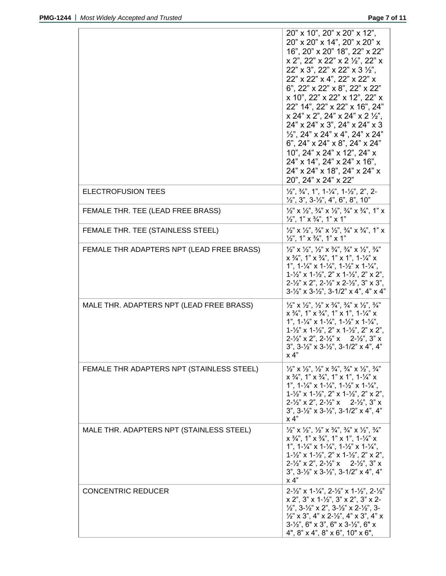|                                           | 20" x 10", 20" x 20" x 12",<br>20" x 20" x 14", 20" x 20" x<br>16", 20" x 20" 18", 22" x 22"<br>$x$ 2", 22" $x$ 22" $x$ 2 $\frac{1}{2}$ ", 22" $x$<br>$22" \times 3"$ , $22" \times 22" \times 3'2"$ ,<br>22" x 22" x 4", 22" x 22" x<br>6", 22" x 22" x 8", 22" x 22"<br>x 10", 22" x 22" x 12", 22" x<br>22" 14", 22" x 22" x 16", 24"<br>x 24" x 2", 24" x 24" x 2 12",<br>24" x 24" x 3", 24" x 24" x 3<br>$\frac{1}{2}$ , 24" x 24" x 4", 24" x 24"<br>6", $24$ " x $24$ " x $8$ ", $24$ " x $24$ "<br>10", 24" x 24" x 12", 24" x<br>$24"$ x 14", $24"$ x $24"$ x 16",<br>24" x 24" x 18", 24" x 24" x<br>20", 24" x 24" x 22" |
|-------------------------------------------|--------------------------------------------------------------------------------------------------------------------------------------------------------------------------------------------------------------------------------------------------------------------------------------------------------------------------------------------------------------------------------------------------------------------------------------------------------------------------------------------------------------------------------------------------------------------------------------------------------------------------------------|
| <b>ELECTROFUSION TEES</b>                 | $\frac{1}{2}$ , $\frac{3}{4}$ , $\frac{1}{2}$ , $\frac{1}{2}$ , $\frac{1}{4}$ , $\frac{1}{4}$ , $\frac{1}{2}$ , $\frac{1}{2}$ , $\frac{1}{2}$ , $\frac{1}{2}$ , $\frac{1}{2}$<br>$\frac{1}{2}$ , 3", 3- $\frac{1}{2}$ ", 4", 6", 8", 10"                                                                                                                                                                                                                                                                                                                                                                                             |
| FEMALE THR. TEE (LEAD FREE BRASS)         | $\frac{1}{2}$ " x $\frac{1}{2}$ ", $\frac{3}{4}$ " x $\frac{1}{2}$ ", $\frac{3}{4}$ " x $\frac{3}{4}$ ", 1" x<br>$\frac{1}{2}$ , 1" x $\frac{3}{4}$ ", 1" x 1"                                                                                                                                                                                                                                                                                                                                                                                                                                                                       |
| FEMALE THR. TEE (STAINLESS STEEL)         | $\frac{1}{2}$ " x $\frac{1}{2}$ ", $\frac{3}{4}$ " x $\frac{1}{2}$ ", $\frac{3}{4}$ " x $\frac{3}{4}$ ", 1" x<br>$\frac{1}{2}$ , 1" x $\frac{3}{4}$ ", 1" x 1"                                                                                                                                                                                                                                                                                                                                                                                                                                                                       |
| FEMALE THR ADAPTERS NPT (LEAD FREE BRASS) | $\frac{1}{2}$ " X $\frac{1}{2}$ ", $\frac{1}{2}$ " X $\frac{3}{4}$ ", $\frac{3}{4}$ " X $\frac{1}{2}$ ", $\frac{3}{4}$ "<br>$x^{3}/^{n}$ , 1" $x^{3}/^{n}$ , 1" $x^{1}$ , 1- $\frac{1}{4}$ " $x^{1}$<br>1", $1-\frac{1}{4}$ " x $1-\frac{1}{4}$ ", $1-\frac{1}{2}$ " x $1-\frac{1}{4}$ ",<br>$1-\frac{1}{2}$ " x $1-\frac{1}{2}$ ", 2" x $1-\frac{1}{2}$ ", 2" x 2",<br>$2-\frac{1}{2}$ " x 2", $2-\frac{1}{2}$ " x $2-\frac{1}{2}$ ", $3$ " x $3$ ",<br>$3 - \frac{1}{2}$ " x $3 - \frac{1}{2}$ ", $3 - \frac{1}{2}$ " x 4", 4" x 4"                                                                                                |
| MALE THR. ADAPTERS NPT (LEAD FREE BRASS)  | $\frac{1}{2}$ " X $\frac{1}{2}$ ", $\frac{1}{2}$ " X $\frac{3}{4}$ ", $\frac{3}{4}$ " X $\frac{1}{2}$ ", $\frac{3}{4}$ "<br>$x^{3}/4$ ", 1" $x^{3}/4$ ", 1" $x^{1}$ ", 1- $\frac{1}{4}$ " $x^{1}$<br>1", $1-\frac{1}{4}$ " x $1-\frac{1}{4}$ ", $1-\frac{1}{2}$ " x $1-\frac{1}{4}$ ",<br>$1-\frac{1}{2}$ " x $1-\frac{1}{2}$ ", $2$ " x $1-\frac{1}{2}$ ", $2$ " x $2$ ",<br>$2-\frac{1}{2}$ x 2", $2-\frac{1}{2}$ " x 2- $\frac{1}{2}$ ", 3" x<br>$3$ ", $3-\frac{1}{2}$ " x $3-\frac{1}{2}$ ", $3-\frac{1}{2}$ " x 4", 4"<br>x 4"                                                                                                 |
| FEMALE THR ADAPTERS NPT (STAINLESS STEEL) | $\frac{1}{2}$ " X $\frac{1}{2}$ ", $\frac{1}{2}$ " X $\frac{3}{4}$ ", $\frac{3}{4}$ " X $\frac{1}{2}$ ", $\frac{3}{4}$ "<br>$x$ $\frac{3}{4}$ , 1" $x$ $\frac{3}{4}$ ", 1" $x$ 1", 1- $\frac{1}{4}$ " $x$<br>1", $1-\frac{1}{4}$ " x $1-\frac{1}{4}$ ", $1-\frac{1}{2}$ " x $1-\frac{1}{4}$ ",<br>$1-\frac{1}{2}$ " x $1-\frac{1}{2}$ ", 2" x $1-\frac{1}{2}$ ", 2" x 2",<br>$2-\frac{1}{2}$ x 2", $2-\frac{1}{2}$ " x 2- $\frac{1}{2}$ ", 3" x<br>$3$ ", $3-\frac{1}{2}$ " x $3-\frac{1}{2}$ ", $3-\frac{1}{2}$ " x 4", 4"<br>$\times$ 4"                                                                                           |
| MALE THR. ADAPTERS NPT (STAINLESS STEEL)  | $\frac{1}{2}$ " X $\frac{1}{2}$ ", $\frac{1}{2}$ " X $\frac{3}{4}$ ", $\frac{3}{4}$ " X $\frac{1}{2}$ ", $\frac{3}{4}$ "<br>$x$ $\frac{3}{4}$ , 1" $x$ $\frac{3}{4}$ ", 1" $x$ 1", 1- $\frac{1}{4}$ " $x$<br>1", $1-\frac{1}{4}$ " x $1-\frac{1}{4}$ ", $1-\frac{1}{2}$ " x $1-\frac{1}{4}$ ",<br>$1 - \frac{1}{2}$ " x $1 - \frac{1}{2}$ ", 2" x $1 - \frac{1}{2}$ ", 2" x 2",<br>$2 - \frac{1}{2}$ " x 2", $2 - \frac{1}{2}$ " x 2- $\frac{1}{2}$ ", 3" x<br>$3$ ", $3-\frac{1}{2}$ " x $3-\frac{1}{2}$ ", $3-\frac{1}{2}$ " x 4", 4"<br>x 4"                                                                                      |
| <b>CONCENTRIC REDUCER</b>                 | $2 - \frac{1}{2}$ " x 1- $\frac{1}{4}$ ", 2- $\frac{1}{2}$ " x 1- $\frac{1}{2}$ ", 2- $\frac{1}{2}$ "<br>$x 2$ ", $3$ " $x 1 - \frac{1}{2}$ ", $3$ " $x 2$ ", $3$ " $x 2$ -<br>$\frac{1}{2}$ , 3- $\frac{1}{2}$ x 2", 3- $\frac{1}{2}$ " x 2- $\frac{1}{2}$ ", 3-<br>$\frac{1}{2}$ " x 3", 4" x 2- $\frac{1}{2}$ ", 4" x 3", 4" x<br>$3\text{-}7\frac{1}{2}$ ", 6" x 3", 6" x 3- $\frac{1}{2}$ ", 6" x<br>4", $8$ " x 4", $8$ " x 6", $10$ " x 6",                                                                                                                                                                                   |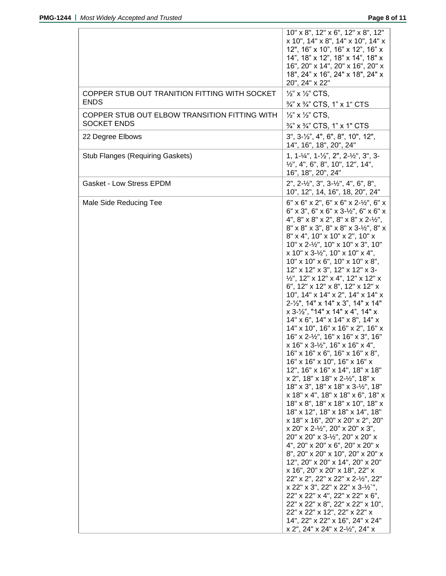|                                                                     | 10" x 8", 12" x 6", 12" x 8", 12"<br>x 10", 14" x 8", 14" x 10", 14" x<br>12", 16" x 10", 16" x 12", 16" x<br>14", 18" x 12", 18" x 14", 18" x<br>16", 20" x 14", 20" x 16", 20" x<br>18", 24" x 16", 24" x 18", 24" x<br>20", 24" x 22"                                                                                                                                                                                                                                                                                                                                                                                                                                                                                                                                                                                                                                                                                                                                                                                                                                                                                                                                                                                                                                                                                                                                                                                                                                                                                                                                                                             |
|---------------------------------------------------------------------|----------------------------------------------------------------------------------------------------------------------------------------------------------------------------------------------------------------------------------------------------------------------------------------------------------------------------------------------------------------------------------------------------------------------------------------------------------------------------------------------------------------------------------------------------------------------------------------------------------------------------------------------------------------------------------------------------------------------------------------------------------------------------------------------------------------------------------------------------------------------------------------------------------------------------------------------------------------------------------------------------------------------------------------------------------------------------------------------------------------------------------------------------------------------------------------------------------------------------------------------------------------------------------------------------------------------------------------------------------------------------------------------------------------------------------------------------------------------------------------------------------------------------------------------------------------------------------------------------------------------|
| COPPER STUB OUT TRANITION FITTING WITH SOCKET<br><b>ENDS</b>        | $\frac{1}{2}$ x $\frac{1}{2}$ CTS,<br>3/4" x 3/4" CTS, 1" x 1" CTS                                                                                                                                                                                                                                                                                                                                                                                                                                                                                                                                                                                                                                                                                                                                                                                                                                                                                                                                                                                                                                                                                                                                                                                                                                                                                                                                                                                                                                                                                                                                                   |
| COPPER STUB OUT ELBOW TRANSITION FITTING WITH<br><b>SOCKET ENDS</b> | $\frac{1}{2}$ x $\frac{1}{2}$ CTS,<br>$\frac{3}{4}$ " x $\frac{3}{4}$ " CTS, 1" x 1" CTS                                                                                                                                                                                                                                                                                                                                                                                                                                                                                                                                                                                                                                                                                                                                                                                                                                                                                                                                                                                                                                                                                                                                                                                                                                                                                                                                                                                                                                                                                                                             |
| 22 Degree Elbows                                                    | $3$ ", $3-\frac{1}{2}$ ", $4$ ", $6$ ", $8$ ", $10$ ", $12$ ",<br>14", 16", 18", 20", 24"                                                                                                                                                                                                                                                                                                                                                                                                                                                                                                                                                                                                                                                                                                                                                                                                                                                                                                                                                                                                                                                                                                                                                                                                                                                                                                                                                                                                                                                                                                                            |
| <b>Stub Flanges (Requiring Gaskets)</b>                             | 1, 1-1/4", 1-1/2", 2", 2-1/2", 3", 3-<br>$\frac{1}{2}$ ", 4", 6", 8", 10", 12", 14",<br>16", 18", 20", 24"                                                                                                                                                                                                                                                                                                                                                                                                                                                                                                                                                                                                                                                                                                                                                                                                                                                                                                                                                                                                                                                                                                                                                                                                                                                                                                                                                                                                                                                                                                           |
| <b>Gasket - Low Stress EPDM</b>                                     | $2$ ", $2-\frac{1}{2}$ ", $3$ ", $3-\frac{1}{2}$ ", $4$ ", $6$ ", $8$ ",<br>10", 12", 14, 16", 18, 20", 24"                                                                                                                                                                                                                                                                                                                                                                                                                                                                                                                                                                                                                                                                                                                                                                                                                                                                                                                                                                                                                                                                                                                                                                                                                                                                                                                                                                                                                                                                                                          |
| Male Side Reducing Tee                                              | $6" \times 6" \times 2", 6" \times 6" \times 2-\frac{1}{2", 6" \times 1}$<br>$6"$ x 3", 6" x 6" x 3-1/2", 6" x 6" x<br>4", $8" \times 8" \times 2"$ , $8" \times 8" \times 2-\frac{1}{2}$ ",<br>8" x 8" x 3", 8" x 8" x 3-1/2", 8" x<br>8" x 4", 10" x 10" x 2", 10" x<br>10" x 2-1/2", 10" x 10" x 3", 10"<br>$x$ 10" x 3-1/ <sub>2</sub> ", 10" x 10" x 4",<br>$10"$ x $10"$ x $6"$ , $10"$ x $10"$ x $8"$ ,<br>12" x 12" x 3", 12" x 12" x 3-<br>1/2", 12" x 12" x 4", 12" x 12" x<br>6", 12" x 12" x 8", 12" x 12" x<br>10", 14" x 14" x 2", 14" x 14" x<br>2-1/2", 14" x 14" x 3", 14" x 14"<br>$x$ 3- $\frac{1}{2}$ ", "14" x 14" x 4", 14" x<br>14" x 6", 14" x 14" x 8", 14" x<br>14" x 10", 16" x 16" x 2", 16" x<br>16" x 2-1/2", 16" x 16" x 3", 16"<br>$x$ 16" x 3-1/ <sub>2</sub> ", 16" x 16" x 4",<br>16" x 16" x 6", 16" x 16" x 8"<br>16" x 16" x 10", 16" x 16" x<br>12", 16" x 16" x 14", 18" x 18"<br>x 2", 18" x 18" x 2-1/2", 18" x<br>18" x 3", 18" x 18" x 3-1/2", 18"<br>x 18" x 4", 18" x 18" x 6", 18" x<br>18" x 8", 18" x 18" x 10", 18" x<br>18" x 12", 18" x 18" x 14", 18"<br>x 18" x 16", 20" x 20" x 2", 20"<br>x 20" x 2-1/2", 20" x 20" x 3",<br>20" x 20" x 3-1/2", 20" x 20" x<br>4", 20" x 20" x 6", 20" x 20" x<br>8", 20" x 20" x 10", 20" x 20" x<br>12", 20" x 20" x 14", 20" x 20"<br>x 16", 20" x 20" x 18", 22" x<br>22" x 2", 22" x 22" x 2-1/2", 22"<br>x 22" x 3", 22" x 22" x 3-1/2",<br>22" x 22" x 4", 22" x 22" x 6",<br>22" x 22" x 8", 22" x 22" x 10",<br>22" x 22" x 12", 22" x 22" x<br>14", 22" x 22" x 16", 24" x 24"<br>x 2", 24" x 24" x 2-1/2", 24" x |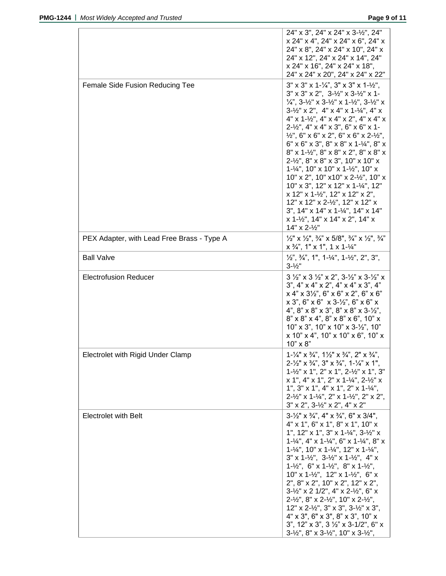|                                            | 24" x 3", 24" x 24" x 3-1/2", 24"                                                                                                                                                                    |
|--------------------------------------------|------------------------------------------------------------------------------------------------------------------------------------------------------------------------------------------------------|
|                                            | x 24" x 4", 24" x 24" x 6", 24" x                                                                                                                                                                    |
|                                            | 24" x 8", 24" x 24" x 10", 24" x                                                                                                                                                                     |
|                                            | 24" x 12", 24" x 24" x 14", 24"                                                                                                                                                                      |
|                                            | x 24" x 16", 24" x 24" x 18",<br>24" x 24" x 20", 24" x 24" x 22"                                                                                                                                    |
|                                            |                                                                                                                                                                                                      |
| <b>Female Side Fusion Reducing Tee</b>     | $3''$ x $3''$ x $1-\frac{1}{4}$ , $3''$ x $3''$ x $1-\frac{1}{2}$ ,                                                                                                                                  |
|                                            | $3''$ x $3''$ x $2''$ , $3-\frac{1}{2}''$ x $3-\frac{1}{2}''$ x 1-                                                                                                                                   |
|                                            | $\frac{1}{4}$ , 3- $\frac{1}{2}$ x 3- $\frac{1}{2}$ x 1- $\frac{1}{2}$ , 3- $\frac{1}{2}$ x<br>$3-1/2$ " x 2", 4" x 4" x 1- $1/4$ ", 4" x                                                            |
|                                            | $4"$ x 1- $\frac{1}{2}$ ", 4" x 4" x 2", 4" x 4" x                                                                                                                                                   |
|                                            | 2-1/2", 4" x 4" x 3", 6" x 6" x 1-                                                                                                                                                                   |
|                                            | $\frac{1}{2}$ ", 6" x 6" x 2", 6" x 6" x 2- $\frac{1}{2}$ ",                                                                                                                                         |
|                                            | $6''$ x $6''$ x $3''$ , $8''$ x $8''$ x $1-\frac{1}{4}$ , $8''$ x                                                                                                                                    |
|                                            | 8" x 1-1/2", 8" x 8" x 2", 8" x 8" x                                                                                                                                                                 |
|                                            | $2 - \frac{1}{2}$ , $8$ " x $8$ " x $3$ ", $10$ " x $10$ " x                                                                                                                                         |
|                                            | $1 - \frac{1}{4}$ ", 10" x 10" x 1- $\frac{1}{2}$ ", 10" x                                                                                                                                           |
|                                            | 10" x 2", 10" x 10" x 2-1/2", 10" x                                                                                                                                                                  |
|                                            | 10" x 3", 12" x 12" x 1-1/4", 12"                                                                                                                                                                    |
|                                            | x 12" x 1-1/2", 12" x 12" x 2",                                                                                                                                                                      |
|                                            | 12" x 12" x 2-1/2", 12" x 12" x                                                                                                                                                                      |
|                                            | 3", 14" x 14" x 1-1/4", 14" x 14"                                                                                                                                                                    |
|                                            | x 1-1/2", 14" x 14" x 2", 14" x                                                                                                                                                                      |
|                                            | 14" x 2-1/2"                                                                                                                                                                                         |
| PEX Adapter, with Lead Free Brass - Type A | $\frac{1}{2}$ " x $\frac{1}{2}$ ", $\frac{3}{4}$ " x 5/8", $\frac{3}{4}$ " x $\frac{1}{2}$ ", $\frac{3}{4}$ "<br>$x \frac{3}{4}$ , 1" x 1", 1 x 1- $\frac{1}{4}$ "                                   |
| <b>Ball Valve</b>                          | $\frac{1}{2}$ , $\frac{3}{4}$ , $\frac{1}{2}$ , $\frac{1}{2}$ , $\frac{1}{4}$ , $\frac{1}{4}$ , $\frac{1}{4}$ , $\frac{1}{2}$ , $\frac{1}{2}$ , $\frac{1}{2}$ , $\frac{1}{3}$ ,<br>$3 - \frac{1}{2}$ |
| <b>Electrofusion Reducer</b>               | $3\frac{1}{2}$ " x 3 $\frac{1}{2}$ " x 2", 3- $\frac{1}{2}$ " x 3- $\frac{1}{2}$ " x                                                                                                                 |
|                                            | $3$ ", $4$ " x $4$ " x $2$ ", $4$ " x $4$ " x $3$ ", $4$ "                                                                                                                                           |
|                                            | x 4" x 3'2", 6" x 6" x 2", 6" x 6"                                                                                                                                                                   |
|                                            | $x 3$ ", 6" $x 6$ " $x 3$ - $\frac{1}{2}$ ", 6" $x 6$ " $x$                                                                                                                                          |
|                                            | 4", $8$ " x $8$ " x $3$ ", $8$ " x $8$ " x $3$ - $\frac{1}{2}$ ",                                                                                                                                    |
|                                            | 8" x 8" x 4", 8" x 8" x 6", 10" x                                                                                                                                                                    |
|                                            | $10"$ x 3", $10"$ x $10"$ x $3-\frac{1}{2}$ ", $10"$                                                                                                                                                 |
|                                            | $x$ 10" $x$ 4", 10" $x$ 10" $x$ 6", 10" $x$                                                                                                                                                          |
|                                            | $10" \times 8"$                                                                                                                                                                                      |
| <b>Electrolet with Rigid Under Clamp</b>   | $1 - \frac{1}{4}$ " x $\frac{3}{4}$ ", $1\frac{1}{2}$ " x $\frac{3}{4}$ ", $2$ " x $\frac{3}{4}$ ",                                                                                                  |
|                                            | $2-\frac{1}{2}$ " x $\frac{3}{4}$ ", $3$ " x $\frac{3}{4}$ ", $1-\frac{1}{4}$ " x $1$ ",                                                                                                             |
|                                            | 1-1/2" x 1", 2" x 1", 2-1/2" x 1", 3"<br>x 1", 4" x 1", 2" x 1-1/4", 2-1/2" x                                                                                                                        |
|                                            | 1", $3" \times 1"$ , $4" \times 1"$ , $2" \times 1$ - $\frac{1}{4"}$ ,                                                                                                                               |
|                                            | $2 - \frac{1}{2}$ " x 1 - $\frac{1}{4}$ ", 2" x 1 - $\frac{1}{2}$ ", 2" x 2",                                                                                                                        |
|                                            | $3''$ x 2", $3-\frac{1}{2}$ " x 2", $4''$ x 2"                                                                                                                                                       |
|                                            | $3\frac{1}{2}$ " x $\frac{3}{4}$ ", 4" x $\frac{3}{4}$ ", 6" x 3/4",                                                                                                                                 |
| <b>Electrolet with Belt</b>                | 4" x 1", 6" x 1", 8" x 1", 10" x                                                                                                                                                                     |
|                                            | 1", 12" x 1", 3" x 1-1/4", 3-1/2" x                                                                                                                                                                  |
|                                            | $1 - \frac{1}{4}$ , 4" x 1- $\frac{1}{4}$ ", 6" x 1- $\frac{1}{4}$ ", 8" x                                                                                                                           |
|                                            | $1 - \frac{1}{4}$ ", 10" x 1- $\frac{1}{4}$ ", 12" x 1- $\frac{1}{4}$ ",                                                                                                                             |
|                                            | $3''$ x 1-1/2", $3-1/2''$ x 1-1/2", 4" x                                                                                                                                                             |
|                                            | $1 - \frac{1}{2}$ ", 6" x $1 - \frac{1}{2}$ ", 8" x $1 - \frac{1}{2}$ ",                                                                                                                             |
|                                            | $10"$ x 1-1/2", 12" x 1-1/2", 6" x                                                                                                                                                                   |
|                                            | 2", 8" x 2", 10" x 2", 12" x 2",                                                                                                                                                                     |
|                                            | $3 - \frac{1}{2}$ " x 2 1/2", 4" x 2- $\frac{1}{2}$ ", 6" x                                                                                                                                          |
|                                            | $2 - \frac{1}{2}$ , $8$ " x $2 - \frac{1}{2}$ ", $10$ " x $2 - \frac{1}{2}$ ",                                                                                                                       |
|                                            | 12" x 2-1/2", 3" x 3", 3-1/2" x 3",                                                                                                                                                                  |
|                                            | 4" x 3", 6" x 3", 8" x 3", 10" x<br>3", 12" x 3", 3 1/2" x 3-1/2", 6" x                                                                                                                              |
|                                            | $3 - \frac{1}{2}$ ", $8$ " x $3 - \frac{1}{2}$ ", $10$ " x $3 - \frac{1}{2}$ ",                                                                                                                      |
|                                            |                                                                                                                                                                                                      |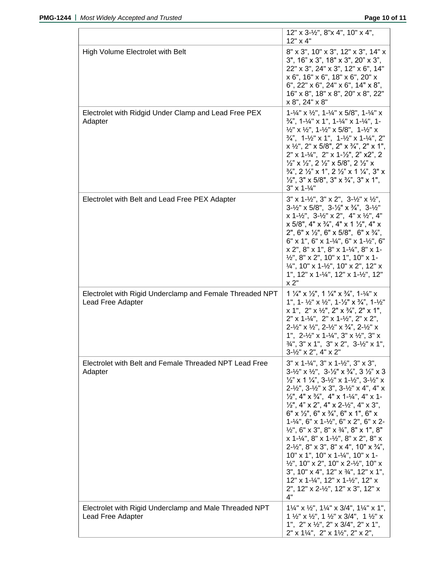|                                                                               | $12"$ x 3- $\frac{1}{2}$ ", 8"x 4", 10" x 4",<br>12" x 4"                                                                                                                                                                                                                                                                                                                                                                                                                                                                                                                                                                                                                                                                                                                                                                                                                                                                                                                                                                                                                 |
|-------------------------------------------------------------------------------|---------------------------------------------------------------------------------------------------------------------------------------------------------------------------------------------------------------------------------------------------------------------------------------------------------------------------------------------------------------------------------------------------------------------------------------------------------------------------------------------------------------------------------------------------------------------------------------------------------------------------------------------------------------------------------------------------------------------------------------------------------------------------------------------------------------------------------------------------------------------------------------------------------------------------------------------------------------------------------------------------------------------------------------------------------------------------|
| High Volume Electrolet with Belt                                              | 8" x 3", 10" x 3", 12" x 3", 14" x<br>$3$ ", $16$ " x $3$ ", $18$ " x $3$ ", $20$ " x $3$ ",<br>22" x 3", 24" x 3", 12" x 6", 14"<br>x 6", 16" x 6", 18" x 6", 20" x<br>6", 22" x 6", 24" x 6", 14" x 8",<br>16" x 8", 18" x 8", 20" x 8", 22"<br>x 8", 24" x 8"                                                                                                                                                                                                                                                                                                                                                                                                                                                                                                                                                                                                                                                                                                                                                                                                          |
| Electrolet with Ridgid Under Clamp and Lead Free PEX<br>Adapter               | $1 - \frac{1}{4}$ " x $\frac{1}{2}$ ", $1 - \frac{1}{4}$ " x 5/8", $1 - \frac{1}{4}$ " x<br>$\frac{3}{4}$ , 1- $\frac{1}{4}$ x 1", 1- $\frac{1}{4}$ " x 1- $\frac{1}{4}$ ", 1-<br>$\frac{1}{2}$ " x $\frac{1}{2}$ ", 1- $\frac{1}{2}$ " x 5/8", 1- $\frac{1}{2}$ " x<br>$\frac{3}{4}$ ", 1-1/ <sub>2</sub> " x 1", 1-1/ <sub>2</sub> " x 1-1/ <sub>4</sub> ", 2"<br>$x \frac{1}{2}$ , 2" $x \frac{5}{8}$ , 2" $x \frac{3}{4}$ , 2" $x \frac{1}{8}$ , 2"<br>$2''$ x 1- $\frac{1}{4}$ ", $2''$ x 1- $\frac{1}{2}$ ", $2''$ x2", 2<br>$\frac{1}{2}$ " x $\frac{1}{2}$ ", 2 $\frac{1}{2}$ " x 5/8", 2 $\frac{1}{2}$ " x<br>$\frac{3}{4}$ , 2 $\frac{1}{2}$ x 1", 2 $\frac{1}{2}$ x 1 $\frac{1}{4}$ , 3" x<br>$\frac{1}{2}$ ", 3" x 5/8", 3" x $\frac{3}{4}$ ", 3" x 1",<br>$3" \times 1-\frac{1}{4"$                                                                                                                                                                                                                                                                          |
| Electrolet with Belt and Lead Free PEX Adapter                                | $3''$ x 1-1/2", $3''$ x 2", $3-1/2''$ x $1/2''$ ,<br>$3 - \frac{1}{2}$ " x 5/8", $3 - \frac{1}{2}$ " x $\frac{3}{4}$ ", $3 - \frac{1}{2}$ "<br>$x$ 1- $\frac{1}{2}$ ", 3- $\frac{1}{2}$ " $x$ 2", 4" $x$ $\frac{1}{2}$ ", 4"<br>$x$ 5/8", 4" $x$ 3/4", 4" $x$ 1 $\frac{1}{2}$ ", 4" $x$<br>2", 6" x $\frac{1}{2}$ ", 6" x 5/8", 6" x $\frac{3}{4}$ ",<br>$6"$ x 1", 6" x 1- $\frac{1}{4}$ ", 6" x 1- $\frac{1}{2}$ ", 6"<br>x 2", 8" x 1", 8" x 1-1/4", 8" x 1-<br>$1/2$ ", 8" x 2", 10" x 1", 10" x 1-<br>$\frac{1}{4}$ ", 10" x 1- $\frac{1}{2}$ ", 10" x 2", 12" x<br>1", $12" \times 1-\frac{1}{4}$ ", $12" \times 1-\frac{1}{2}$ ", $12"$<br>x 2"                                                                                                                                                                                                                                                                                                                                                                                                                    |
| Electrolet with Rigid Underclamp and Female Threaded NPT<br>Lead Free Adapter | $1\frac{1}{4}$ " x $\frac{1}{2}$ ", $1\frac{1}{4}$ " x $\frac{3}{4}$ ", $1\frac{1}{4}$ " x<br>1", 1- $\frac{1}{2}$ " x $\frac{1}{2}$ ", 1- $\frac{1}{2}$ " x $\frac{3}{4}$ ", 1- $\frac{1}{2}$ "<br>$x 1$ ", $2$ " $x 1/2$ ", $2$ " $x 3/4$ ", $2$ " $x 1$ ",<br>$2"$ x 1-1/4", $2"$ x 1-1/2", $2"$ x 2",<br>$2 - \frac{1}{2}$ " x $\frac{1}{2}$ ", $2 - \frac{1}{2}$ " x $\frac{3}{4}$ ", $2 - \frac{1}{2}$ " x<br>1", $2-\frac{1}{2}$ " x 1- $\frac{1}{4}$ ", 3" x $\frac{1}{2}$ ", 3" x<br>$\frac{3}{4}$ ", 3" x 1", 3" x 2", 3-1/ <sub>2</sub> " x 1",<br>$3 - \frac{1}{2}$ " x 2", 4" x 2"                                                                                                                                                                                                                                                                                                                                                                                                                                                                           |
| Electrolet with Belt and Female Threaded NPT Lead Free<br>Adapter             | $3''$ x 1- $\frac{1}{4}$ ", $3''$ x 1- $\frac{1}{2}$ ", $3''$ x $3''$ ,<br>$3 - \frac{1}{2}$ " x $\frac{1}{2}$ ", $3 - \frac{1}{2}$ " x $\frac{3}{4}$ ", $3 \frac{1}{2}$ " x 3<br>$\frac{1}{2}$ " x 1 $\frac{1}{4}$ ", 3- $\frac{1}{2}$ " x 1- $\frac{1}{2}$ ", 3- $\frac{1}{2}$ " x<br>$2 - \frac{1}{2}$ , $3 - \frac{1}{2}$ x 3", $3 - \frac{1}{2}$ x 4", 4" x<br>$\frac{1}{2}$ , 4" x $\frac{3}{4}$ ", 4" x 1- $\frac{1}{4}$ ", 4" x 1-<br>$\frac{1}{2}$ , 4" x 2", 4" x 2- $\frac{1}{2}$ ", 4" x 3",<br>$6''$ x $\frac{1}{2}$ , $6''$ x $\frac{3}{4}$ , $6''$ x 1", $6''$ x<br>$1 - \frac{1}{4}$ ", 6" x $1 - \frac{1}{2}$ ", 6" x 2", 6" x 2-<br>$\frac{1}{2}$ , 6" x 3", 8" x $\frac{3}{4}$ ", 8" x 1", 8"<br>$x$ 1- $\frac{1}{4}$ ", 8" $x$ 1- $\frac{1}{2}$ ", 8" $x$ 2", 8" $x$<br>$2-\frac{1}{2}$ ", $8$ " x 3", $8$ " x 4", $10$ " x $\frac{3}{4}$ ",<br>10" x 1", 10" x 1-1/4", 10" x 1-<br>$1/2$ ", 10" x 2", 10" x 2- $1/2$ ", 10" x<br>3", 10" x 4", 12" x 3/4", 12" x 1",<br>12" x 1-1/4", 12" x 1-1/2", 12" x<br>2", 12" x 2-1/2", 12" x 3", 12" x<br>4" |
| Electrolet with Rigid Underclamp and Male Threaded NPT<br>Lead Free Adapter   | $1\frac{1}{4}$ " x $\frac{1}{2}$ ", $1\frac{1}{4}$ " x 3/4", $1\frac{1}{4}$ " x 1",<br>$1 \frac{1}{2}$ " x $\frac{1}{2}$ ", $1 \frac{1}{2}$ " x $3/4$ ", $1 \frac{1}{2}$ " x<br>1", $2$ " x $\frac{1}{2}$ ", $2$ " x $3/4$ ", $2$ " x $1$ ",<br>$2" \times 1\frac{1}{4}"$ , $2" \times 1\frac{1}{2}"$ , $2" \times 2"$ ,                                                                                                                                                                                                                                                                                                                                                                                                                                                                                                                                                                                                                                                                                                                                                  |